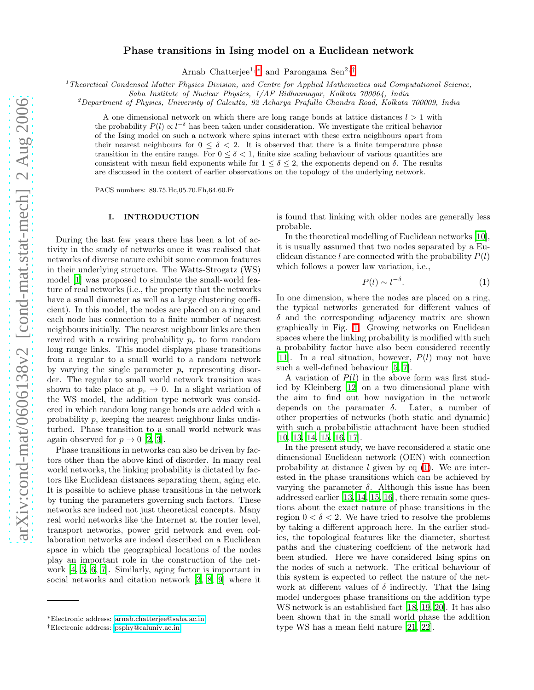# Phase transitions in Ising model on a Euclidean network

Arnab Chatterjee<sup>1,\*</sup> and Parongama Sen<sup>2,[†](#page-0-1)</sup>

 $1$ <sup>T</sup>heoretical Condensed Matter Physics Division, and Centre for Applied Mathematics and Computational Science,

Saha Institute of Nuclear Physics, 1/AF Bidhannagar, Kolkata 700064, India

 $^{2}$ Department of Physics, University of Calcutta, 92 Acharya Prafulla Chandra Road, Kolkata 700009, India

A one dimensional network on which there are long range bonds at lattice distances  $l > 1$  with the probability  $P(l) \propto l^{-\delta}$  has been taken under consideration. We investigate the critical behavior of the Ising model on such a network where spins interact with these extra neighbours apart from their nearest neighbours for  $0 \le \delta < 2$ . It is observed that there is a finite temperature phase transition in the entire range. For  $0 \leq \delta < 1$ , finite size scaling behaviour of various quantities are consistent with mean field exponents while for  $1 \leq \delta \leq 2$ , the exponents depend on  $\delta$ . The results are discussed in the context of earlier observations on the topology of the underlying network.

PACS numbers: 89.75.Hc,05.70.Fh,64.60.Fr

## I. INTRODUCTION

During the last few years there has been a lot of activity in the study of networks once it was realised that networks of diverse nature exhibit some common features in their underlying structure. The Watts-Strogatz (WS) model [\[1\]](#page-6-0) was proposed to simulate the small-world feature of real networks (i.e., the property that the networks have a small diameter as well as a large clustering coefficient). In this model, the nodes are placed on a ring and each node has connection to a finite number of nearest neighbours initially. The nearest neighbour links are then rewired with a rewiring probability  $p_r$  to form random long range links. This model displays phase transitions from a regular to a small world to a random network by varying the single parameter  $p_r$  representing disorder. The regular to small world network transition was shown to take place at  $p_r \to 0$ . In a slight variation of the WS model, the addition type network was considered in which random long range bonds are added with a probability p, keeping the nearest neighbour links undisturbed. Phase transition to a small world network was again observed for  $p \to 0$  [\[2,](#page-6-1) [3\]](#page-6-2).

Phase transitions in networks can also be driven by factors other than the above kind of disorder. In many real world networks, the linking probability is dictated by factors like Euclidean distances separating them, aging etc. It is possible to achieve phase transitions in the network by tuning the parameters governing such factors. These networks are indeed not just theoretical concepts. Many real world networks like the Internet at the router level, transport networks, power grid network and even collaboration networks are indeed described on a Euclidean space in which the geographical locations of the nodes play an important role in the construction of the network [\[4,](#page-6-3) [5](#page-6-4), [6,](#page-6-5) [7](#page-6-6)]. Similarly, aging factor is important in social networks and citation network [\[3,](#page-6-2) [8,](#page-6-7) [9](#page-6-8)] where it

is found that linking with older nodes are generally less probable.

In the theoretical modelling of Euclidean networks [\[10\]](#page-6-9), it is usually assumed that two nodes separated by a Euclidean distance l are connected with the probability  $P(l)$ which follows a power law variation, i.e.,

$$
P(l) \sim l^{-\delta}.\tag{1}
$$

<span id="page-0-2"></span>In one dimension, where the nodes are placed on a ring, the typical networks generated for different values of  $\delta$  and the corresponding adjacency matrix are shown graphically in Fig. [1.](#page-1-0) Growing networks on Euclidean spaces where the linking probability is modified with such a probability factor have also been considered recently [\[11\]](#page-6-10). In a real situation, however,  $P(l)$  may not have such a well-defined behaviour [\[5](#page-6-4), [7](#page-6-6)].

A variation of  $P(l)$  in the above form was first studied by Kleinberg [\[12](#page-6-11)] on a two dimensional plane with the aim to find out how navigation in the network depends on the paramater  $\delta$ . Later, a number of other properties of networks (both static and dynamic) with such a probabilistic attachment have been studied [\[10,](#page-6-9) [13,](#page-6-12) [14,](#page-6-13) [15,](#page-6-14) [16,](#page-6-15) [17](#page-6-16)].

In the present study, we have reconsidered a static one dimensional Euclidean network (OEN) with connection probability at distance  $l$  given by eq  $(1)$ . We are interested in the phase transitions which can be achieved by varying the parameter  $\delta$ . Although this issue has been addressed earlier [\[13](#page-6-12), [14,](#page-6-13) [15,](#page-6-14) [16](#page-6-15)], there remain some questions about the exact nature of phase transitions in the region  $0 < \delta < 2$ . We have tried to resolve the problems by taking a different approach here. In the earlier studies, the topological features like the diameter, shortest paths and the clustering coeffcient of the network had been studied. Here we have considered Ising spins on the nodes of such a network. The critical behaviour of this system is expected to reflect the nature of the network at different values of  $\delta$  indirectly. That the Ising model undergoes phase transitions on the addition type WS network is an established fact [\[18](#page-6-17), [19,](#page-6-18) [20\]](#page-6-19). It has also been shown that in the small world phase the addition type WS has a mean field nature [\[21](#page-6-20), [22](#page-6-21)].

<span id="page-0-0"></span><sup>∗</sup>Electronic address: [arnab.chatterjee@saha.ac.in](mailto:arnab.chatterjee@saha.ac.in)

<span id="page-0-1"></span><sup>†</sup>Electronic address: [psphy@caluniv.ac.in](mailto:psphy@caluniv.ac.in)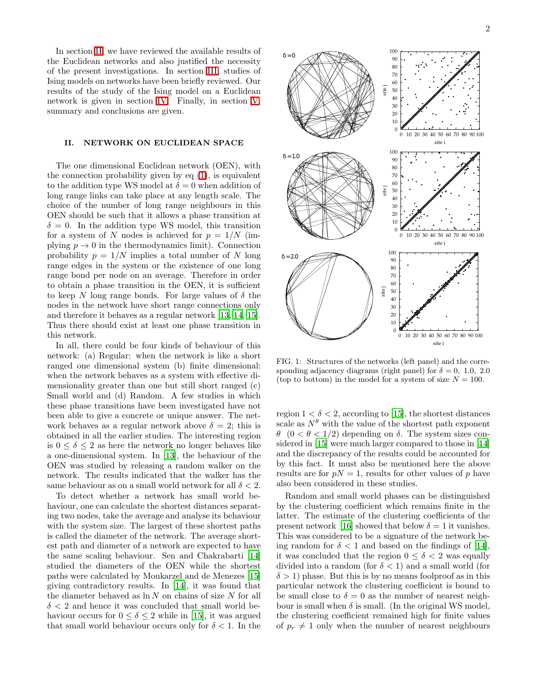In section [II,](#page-1-1) we have reviewed the available results of the Euclidean networks and also justified the necessity of the present investigations. In section [III,](#page-2-0) studies of Ising models on networks have been briefly reviewed. Our results of the study of the Ising model on a Euclidean network is given in section [IV.](#page-3-0) Finally, in section [V,](#page-5-0) summary and conclusions are given.

## II. NETWORK ON EUCLIDEAN SPACE

<span id="page-1-1"></span>The one dimensional Euclidean network (OEN), with the connection probability given by  $eq(1)$ , is equivalent to the addition type WS model at  $\delta = 0$  when addition of long range links can take place at any length scale. The choice of the number of long range neighbours in this OEN should be such that it allows a phase transition at  $\delta = 0$ . In the addition type WS model, this transition for a system of N nodes is achieved for  $p = 1/N$  (implying  $p \to 0$  in the thermodynamics limit). Connection probability  $p = 1/N$  implies a total number of N long range edges in the system or the existence of one long range bond per node on an average. Therefore in order to obtain a phase transition in the OEN, it is sufficient to keep N long range bonds. For large values of  $\delta$  the nodes in the network have short range connections only and therefore it behaves as a regular network [\[13,](#page-6-12) [14](#page-6-13), [15\]](#page-6-14). Thus there should exist at least one phase transition in this network.

In all, there could be four kinds of behaviour of this network: (a) Regular: when the network is like a short ranged one dimensional system (b) finite dimensional: when the network behaves as a system with effective dimensionality greater than one but still short ranged (c) Small world and (d) Random. A few studies in which these phase transitions have been investigated have not been able to give a concrete or unique answer. The network behaves as a regular network above  $\delta = 2$ ; this is obtained in all the earlier studies. The interesting region is  $0 \le \delta \le 2$  as here the network no longer behaves like a one-dimensional system. In [\[13\]](#page-6-12), the behaviour of the OEN was studied by releasing a random walker on the network. The results indicated that the walker has the same behaviour as on a small world network for all  $\delta < 2$ .

To detect whether a network has small world behaviour, one can calculate the shortest distances separating two nodes, take the average and analyse its behaviour with the system size. The largest of these shortest paths is called the diameter of the network. The average shortest path and diameter of a network are expected to have the same scaling behaviour. Sen and Chakrabarti [\[14](#page-6-13)] studied the diameters of the OEN while the shortest paths were calculated by Moukarzel and de Menezes [\[15](#page-6-14)] giving contradictory results. In [\[14](#page-6-13)], it was found that the diameter behaved as  $\ln N$  on chains of size N for all  $\delta$  < 2 and hence it was concluded that small world behaviour occurs for  $0 \le \delta \le 2$  while in [\[15\]](#page-6-14), it was argued that small world behaviour occurs only for  $\delta < 1$ . In the



<span id="page-1-0"></span>FIG. 1: Structures of the networks (left panel) and the corresponding adjacency diagrams (right panel) for  $\delta = 0, 1.0, 2.0$ (top to bottom) in the model for a system of size  $N = 100$ .

region  $1 < \delta < 2$ , according to [\[15](#page-6-14)], the shortest distances scale as  $N^{\theta}$  with the value of the shortest path exponent θ (0 < θ < 1/2) depending on δ. The system sizes considered in [\[15\]](#page-6-14) were much larger compared to those in [\[14](#page-6-13)] and the discrepancy of the results could be accounted for by this fact. It must also be mentioned here the above results are for  $pN = 1$ , results for other values of p have also been considered in these studies.

Random and small world phases can be distinguished by the clustering coefficient which remains finite in the latter. The estimate of the clustering coefficients of the present network [\[16\]](#page-6-15) showed that below  $\delta = 1$  it vanishes. This was considered to be a signature of the network being random for  $\delta < 1$  and based on the findings of [\[14\]](#page-6-13), it was concluded that the region  $0 \leq \delta < 2$  was equally divided into a random (for  $\delta < 1$ ) and a small world (for  $\delta > 1$ ) phase. But this is by no means foolproof as in this particular network the clustering coefficient is bound to be small close to  $\delta = 0$  as the number of nearest neighbour is small when  $\delta$  is small. (In the original WS model, the clustering coefficient remained high for finite values of  $p_r \neq 1$  only when the number of nearest neighbours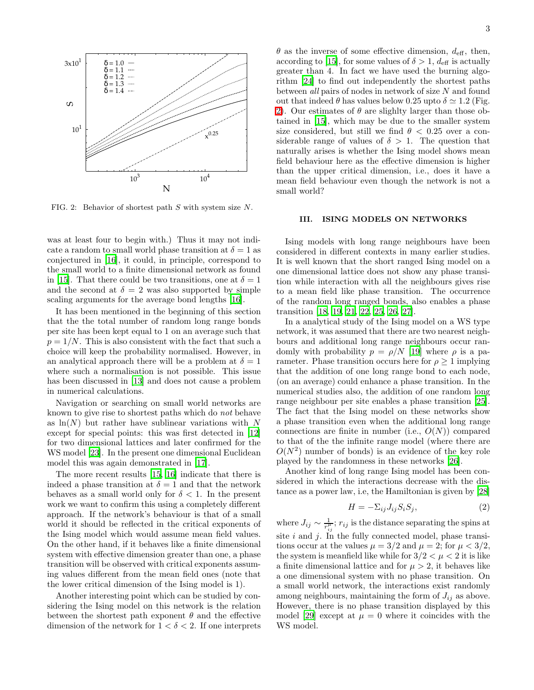

<span id="page-2-1"></span>FIG. 2: Behavior of shortest path S with system size N.

was at least four to begin with.) Thus it may not indicate a random to small world phase transition at  $\delta = 1$  as conjectured in [\[16\]](#page-6-15), it could, in principle, correspond to the small world to a finite dimensional network as found in [\[15\]](#page-6-14). That there could be two transitions, one at  $\delta = 1$ and the second at  $\delta = 2$  was also supported by simple scaling arguments for the average bond lengths [\[16\]](#page-6-15).

It has been mentioned in the beginning of this section that the the total number of random long range bonds per site has been kept equal to 1 on an average such that  $p = 1/N$ . This is also consistent with the fact that such a choice will keep the probability normalised. However, in an analytical approach there will be a problem at  $\delta = 1$ where such a normalisation is not possible. This issue has been discussed in [\[13\]](#page-6-12) and does not cause a problem in numerical calculations.

Navigation or searching on small world networks are known to give rise to shortest paths which do not behave as  $\ln(N)$  but rather have sublinear variations with N except for special points: this was first detected in [\[12](#page-6-11)] for two dimensional lattices and later confirmed for the WS model [\[23\]](#page-6-22). In the present one dimensional Euclidean model this was again demonstrated in [\[17\]](#page-6-16).

The more recent results [\[15](#page-6-14), [16\]](#page-6-15) indicate that there is indeed a phase transition at  $\delta = 1$  and that the network behaves as a small world only for  $\delta < 1$ . In the present work we want to confirm this using a completely different approach. If the network's behaviour is that of a small world it should be reflected in the critical exponents of the Ising model which would assume mean field values. On the other hand, if it behaves like a finite dimensional system with effective dimension greater than one, a phase transition will be observed with critical exponents assuming values different from the mean field ones (note that the lower critical dimension of the Ising model is 1).

Another interesting point which can be studied by considering the Ising model on this network is the relation between the shortest path exponent  $\theta$  and the effective dimension of the network for  $1 < \delta < 2$ . If one interprets

 $\theta$  as the inverse of some effective dimension,  $d_{\text{eff}}$ , then, according to [\[15\]](#page-6-14), for some values of  $\delta > 1$ ,  $d_{\text{eff}}$  is actually greater than 4. In fact we have used the burning algorithm [\[24](#page-6-23)] to find out independently the shortest paths between  $all$  pairs of nodes in network of size  $N$  and found out that indeed  $\theta$  has values below 0.25 upto  $\delta \simeq 1.2$  (Fig. [2\)](#page-2-1). Our estimates of  $\theta$  are slighlty larger than those obtained in [\[15\]](#page-6-14), which may be due to the smaller system size considered, but still we find  $\theta$  < 0.25 over a considerable range of values of  $\delta > 1$ . The question that naturally arises is whether the Ising model shows mean field behaviour here as the effective dimension is higher than the upper critical dimension, i.e., does it have a mean field behaviour even though the network is not a small world?

## III. ISING MODELS ON NETWORKS

<span id="page-2-0"></span>Ising models with long range neighbours have been considered in different contexts in many earlier studies. It is well known that the short ranged Ising model on a one dimensional lattice does not show any phase transition while interaction with all the neighbours gives rise to a mean field like phase transition. The occurrence of the random long ranged bonds, also enables a phase transition [\[18](#page-6-17), [19](#page-6-18), [21](#page-6-20), [22](#page-6-21), [25,](#page-6-24) [26,](#page-6-25) [27\]](#page-6-26).

In a analytical study of the Ising model on a WS type network, it was assumed that there are two nearest neighbours and additional long range neighbours occur randomly with probability  $p = \rho/N$  [\[19\]](#page-6-18) where  $\rho$  is a parameter. Phase transition occurs here for  $\rho \geq 1$  implying that the addition of one long range bond to each node, (on an average) could enhance a phase transition. In the numerical studies also, the addition of one random long range neighbour per site enables a phase transition [\[25\]](#page-6-24). The fact that the Ising model on these networks show a phase transition even when the additional long range connections are finite in number (i.e.,  $O(N)$ ) compared to that of the the infinite range model (where there are  $O(N^2)$  number of bonds) is an evidence of the key role played by the randomness in these networks [\[26](#page-6-25)].

Another kind of long range Ising model has been considered in which the interactions decrease with the distance as a power law, i.e, the Hamiltonian is given by [\[28](#page-6-27)]

$$
H = -\Sigma_{ij} J_{ij} S_i S_j,\tag{2}
$$

where  $J_{ij} \sim \frac{1}{r_{ij}^L}$ ;  $r_{ij}$  is the distance separating the spins at site  $i$  and  $j$ . In the fully connected model, phase transitions occur at the values  $\mu = 3/2$  and  $\mu = 2$ ; for  $\mu < 3/2$ , the system is meanfield like while for  $3/2 < \mu < 2$  it is like a finite dimensional lattice and for  $\mu > 2$ , it behaves like a one dimensional system with no phase transition. On a small world network, the interactions exist randomly among neighbours, maintaining the form of  $J_{ij}$  as above. However, there is no phase transition displayed by this model [\[29\]](#page-6-28) except at  $\mu = 0$  where it coincides with the WS model.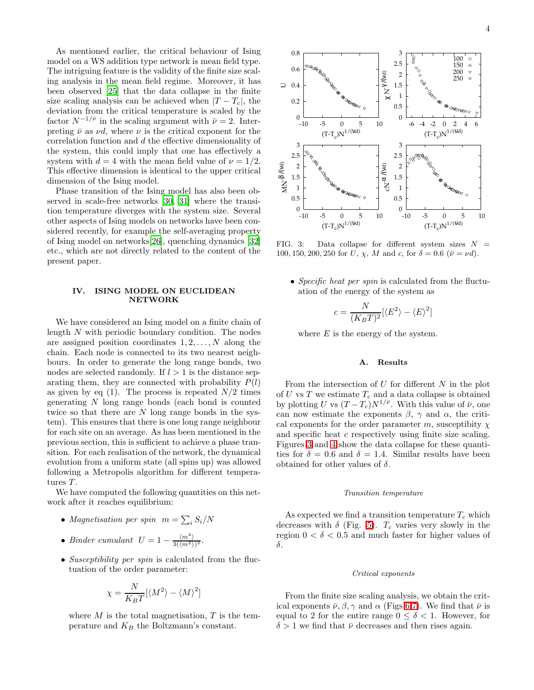As mentioned earlier, the critical behaviour of Ising model on a WS addition type network is mean field type. The intriguing feature is the validity of the finite size scaling analysis in the mean field regime. Moreover, it has been observed [\[25](#page-6-24)] that the data collapse in the finite size scaling analysis can be achieved when  $|T-T_c|$ , the deviation from the critical temperature is scaled by the factor  $N^{-1/\bar{\nu}}$  in the scaling argument with  $\bar{\nu}=2$ . Interpreting  $\bar{\nu}$  as  $\nu d$ , where  $\nu$  is the critical exponent for the correlation function and d the effective dimensionality of the system, this could imply that one has effectively a system with  $d = 4$  with the mean field value of  $\nu = 1/2$ . This effective dimension is identical to the upper critical dimension of the Ising model.

Phase transition of the Ising model has also been observed in scale-free networks [\[30,](#page-6-29) [31\]](#page-6-30) where the transition temperature diverges with the system size. Several other aspects of Ising models on networks have been considered recently, for example the self-averaging property of Ising model on networks[\[26\]](#page-6-25), quenching dynamics [\[32](#page-6-31)] etc., which are not directly related to the content of the present paper.

## IV. ISING MODEL ON EUCLIDEAN NETWORK

<span id="page-3-0"></span>We have considered an Ising model on a finite chain of length N with periodic boundary condition. The nodes are assigned position coordinates  $1, 2, \ldots, N$  along the chain. Each node is connected to its two nearest neighbours. In order to generate the long range bonds, two nodes are selected randomly. If  $l > 1$  is the distance separating them, they are connected with probability  $P(l)$ as given by eq  $(1)$ . The process is repeated  $N/2$  times generating N long range bonds (each bond is counted twice so that there are  $N$  long range bonds in the system). This ensures that there is one long range neighbour for each site on an average. As has been mentioned in the previous section, this is sufficient to achieve a phase transition. For each realisation of the network, the dynamical evolution from a uniform state (all spins up) was allowed following a Metropolis algorithm for different temperatures  $T$ .

We have computed the following quantities on this network after it reaches equilibrium:

- Magnetisation per spin  $m = \sum_i S_i/N$
- Binder cumulant  $U = 1 \frac{\langle m^4 \rangle}{3(\langle m^2 \rangle)^2}$ .
- Susceptibility per spin is calculated from the fluctuation of the order parameter:

$$
\chi = \frac{N}{K_B T} [\langle M^2 \rangle - \langle M \rangle^2]
$$

where  $M$  is the total magnetisation,  $T$  is the temperature and  $K_B$  the Boltzmann's constant.



<span id="page-3-1"></span>FIG. 3: Data collapse for different system sizes  $N =$ 100, 150, 200, 250 for U,  $\chi$ , M and c, for  $\delta = 0.6$  ( $\bar{\nu} = \nu d$ ).

• Specific heat per spin is calculated from the fluctuation of the energy of the system as

$$
c = \frac{N}{(K_B T)^2} [\langle E^2 \rangle - \langle E \rangle^2]
$$

where  $E$  is the energy of the system.

## A. Results

From the intersection of  $U$  for different  $N$  in the plot of U vs T we estimate  $T_c$  and a data collapse is obtained by plotting U vs  $(T - T_c)N^{1/\bar{\nu}}$ . With this value of  $\bar{\nu}$ , one can now estimate the exponents  $\beta$ ,  $\gamma$  and  $\alpha$ , the critical exponents for the order parameter m, susceptibity  $\chi$ and specific heat c respectively using finite size scaling. Figures [3](#page-3-1) and [4](#page-4-0) show the data collapse for these quantities for  $\delta = 0.6$  and  $\delta = 1.4$ . Similar results have been obtained for other values of  $\delta$ .

## Transition temperature

As expected we find a transition temperature  $T_c$  which decreases with  $\delta$  (Fig. [5\)](#page-4-1).  $T_c$  varies very slowly in the region  $0 < \delta < 0.5$  and much faster for higher values of δ.

#### Critical exponents

From the finite size scaling analysis, we obtain the critical exponents  $\bar{\nu}, \beta, \gamma$  and  $\alpha$  (Figs [6,](#page-4-2)[7\)](#page-4-3). We find that  $\bar{\nu}$  is equal to 2 for the entire range  $0 \leq \delta \leq 1$ . However, for  $\delta > 1$  we find that  $\bar{\nu}$  decreases and then rises again.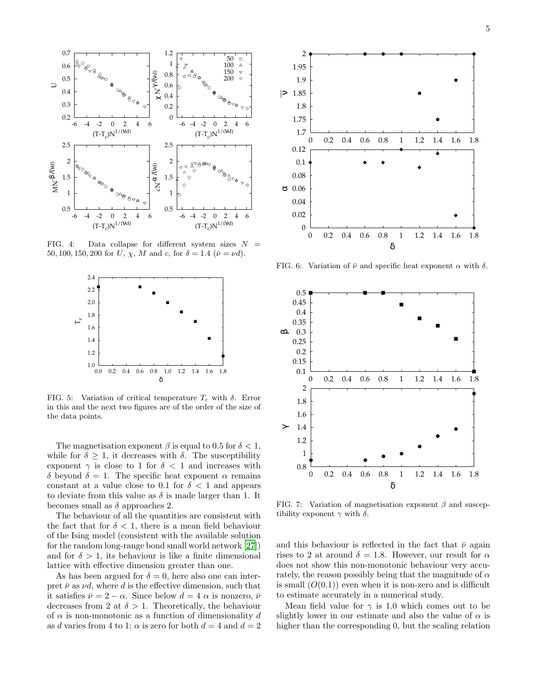

<span id="page-4-0"></span>FIG. 4: Data collapse for different system sizes  $N =$ 50, 100, 150, 200 for U,  $\chi$ , M and c, for  $\delta = 1.4$  ( $\bar{\nu} = \nu d$ ).



<span id="page-4-1"></span>FIG. 5: Variation of critical temperature  $T_c$  with  $\delta$ . Error in this and the next two figures are of the order of the size of the data points.

The magnetisation exponent  $\beta$  is equal to 0.5 for  $\delta < 1$ , while for  $\delta \geq 1$ , it decreases with  $\delta$ . The susceptibility exponent  $\gamma$  is close to 1 for  $\delta$  < 1 and increases with δ beyond  $\delta = 1$ . The specific heat exponent α remains constant at a value close to 0.1 for  $\delta$  < 1 and appears to deviate from this value as  $\delta$  is made larger than 1. It becomes small as  $\delta$  approaches 2.

The behaviour of all the quantities are consistent with the fact that for  $\delta < 1$ , there is a mean field behaviour of the Ising model (consistent with the available solution for the random long-range bond small world network [\[27\]](#page-6-26)) and for  $\delta > 1$ , its behaviour is like a finite dimensional lattice with effective dimension greater than one.

As has been argued for  $\delta = 0$ , here also one can interpret  $\bar{\nu}$  as  $\nu d$ , where d is the effective dimension, such that it satisfies  $\bar{\nu} = 2 - \alpha$ . Since below  $d = 4 \alpha$  is nonzero,  $\bar{\nu}$ decreases from 2 at  $\delta > 1$ . Theoretically, the behaviour of  $\alpha$  is non-monotonic as a function of dimensionality d as d varies from 4 to 1;  $\alpha$  is zero for both  $d = 4$  and  $d = 2$ 



<span id="page-4-2"></span>FIG. 6: Variation of  $\bar{\nu}$  and specific heat exponent  $\alpha$  with  $\delta$ .



<span id="page-4-3"></span>FIG. 7: Variation of magnetisation exponent  $\beta$  and susceptibility exponent  $\gamma$  with  $\delta.$ 

and this behaviour is reflected in the fact that  $\bar{\nu}$  again rises to 2 at around  $\delta = 1.8$ . However, our result for  $\alpha$ does not show this non-monotonic behaviour very accurately, the reason possibly being that the magnitude of  $\alpha$ is small  $(O(0.1))$  even when it is non-zero and is difficult to estimate accurately in a numerical study.

Mean field value for  $\gamma$  is 1.0 which comes out to be slightly lower in our estimate and also the value of  $\alpha$  is higher than the corresponding 0, but the scaling relation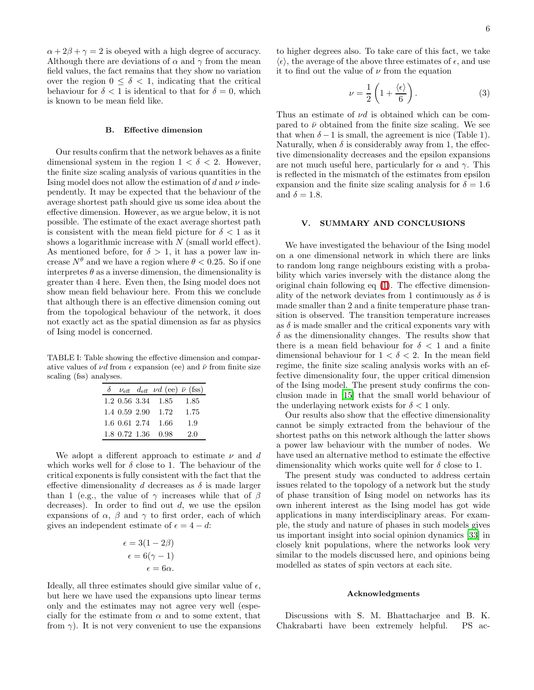$\alpha + 2\beta + \gamma = 2$  is obeyed with a high degree of accuracy. Although there are deviations of  $\alpha$  and  $\gamma$  from the mean field values, the fact remains that they show no variation over the region  $0 \leq \delta < 1$ , indicating that the critical behaviour for  $\delta < 1$  is identical to that for  $\delta = 0$ , which

#### B. Effective dimension

is known to be mean field like.

Our results confirm that the network behaves as a finite dimensional system in the region  $1 < \delta < 2$ . However, the finite size scaling analysis of various quantities in the Ising model does not allow the estimation of d and  $\nu$  independently. It may be expected that the behaviour of the average shortest path should give us some idea about the effective dimension. However, as we argue below, it is not possible. The estimate of the exact average shortest path is consistent with the mean field picture for  $\delta < 1$  as it shows a logarithmic increase with  $N$  (small world effect). As mentioned before, for  $\delta > 1$ , it has a power law increase  $N^{\theta}$  and we have a region where  $\theta < 0.25$ . So if one interpretes  $\theta$  as a inverse dimension, the dimensionality is greater than 4 here. Even then, the Ising model does not show mean field behaviour here. From this we conclude that although there is an effective dimension coming out from the topological behaviour of the network, it does not exactly act as the spatial dimension as far as physics of Ising model is concerned.

TABLE I: Table showing the effective dimension and comparative values of  $\nu d$  from  $\epsilon$  expansion (ee) and  $\bar{\nu}$  from finite size scaling (fss) analyses.

|               | $\delta \nu_{\rm eff} d_{\rm eff} \nu d$ (ee) $\bar{\nu}$ (fss) |      |
|---------------|-----------------------------------------------------------------|------|
|               | $1.2$ 0.56 3.34 1.85                                            | 1.85 |
| 1.4 0.59 2.90 | -1.72                                                           | 1.75 |
| 1.6 0.61 2.74 | - 1.66                                                          | 1.9  |
| 1.8 0.72 1.36 | -0.98                                                           | 2.0  |

We adopt a different approach to estimate  $\nu$  and d which works well for  $\delta$  close to 1. The behaviour of the critical exponents is fully consistent with the fact that the effective dimensionality d decreases as  $\delta$  is made larger than 1 (e.g., the value of  $\gamma$  increases while that of  $\beta$ decreases). In order to find out  $d$ , we use the epsilon expansions of  $\alpha$ ,  $\beta$  and  $\gamma$  to first order, each of which gives an independent estimate of  $\epsilon = 4 - d$ :

$$
\epsilon = 3(1 - 2\beta)
$$

$$
\epsilon = 6(\gamma - 1)
$$

$$
\epsilon = 6\alpha.
$$

Ideally, all three estimates should give similar value of  $\epsilon$ , but here we have used the expansions upto linear terms only and the estimates may not agree very well (especially for the estimate from  $\alpha$  and to some extent, that from  $\gamma$ ). It is not very convenient to use the expansions to higher degrees also. To take care of this fact, we take  $\langle \epsilon \rangle$ , the average of the above three estimates of  $\epsilon$ , and use it to find out the value of  $\nu$  from the equation

$$
\nu = \frac{1}{2} \left( 1 + \frac{\langle \epsilon \rangle}{6} \right). \tag{3}
$$

Thus an estimate of  $\nu d$  is obtained which can be compared to  $\bar{\nu}$  obtained from the finite size scaling. We see that when  $\delta - 1$  is small, the agreement is nice (Table 1). Naturally, when  $\delta$  is considerably away from 1, the effective dimensionality decreases and the epsilon expansions are not much useful here, particularly for  $\alpha$  and  $\gamma$ . This is reflected in the mismatch of the estimates from epsilon expansion and the finite size scaling analysis for  $\delta = 1.6$ and  $\delta = 1.8$ .

## V. SUMMARY AND CONCLUSIONS

<span id="page-5-0"></span>We have investigated the behaviour of the Ising model on a one dimensional network in which there are links to random long range neighbours existing with a probability which varies inversely with the distance along the original chain following eq [\(1\)](#page-0-2). The effective dimensionality of the network deviates from 1 continuously as  $\delta$  is made smaller than 2 and a finite temperature phase transition is observed. The transition temperature increases as  $\delta$  is made smaller and the critical exponents vary with  $\delta$  as the dimensionality changes. The results show that there is a mean field behaviour for  $\delta$  < 1 and a finite dimensional behaviour for  $1 < \delta < 2$ . In the mean field regime, the finite size scaling analysis works with an effective dimensionality four, the upper critical dimension of the Ising model. The present study confirms the conclusion made in [\[15\]](#page-6-14) that the small world behaviour of the underlaying network exists for  $\delta < 1$  only.

Our results also show that the effective dimensionality cannot be simply extracted from the behaviour of the shortest paths on this network although the latter shows a power law behaviour with the number of nodes. We have used an alternative method to estimate the effective dimensionality which works quite well for  $\delta$  close to 1.

The present study was conducted to address certain issues related to the topology of a network but the study of phase transition of Ising model on networks has its own inherent interest as the Ising model has got wide applications in many interdisciplinary areas. For example, the study and nature of phases in such models gives us important insight into social opinion dynamics [\[33\]](#page-6-32) in closely knit populations, where the networks look very similar to the models discussed here, and opinions being modelled as states of spin vectors at each site.

## Acknowledgments

Discussions with S. M. Bhattacharjee and B. K. Chakrabarti have been extremely helpful. PS ac-